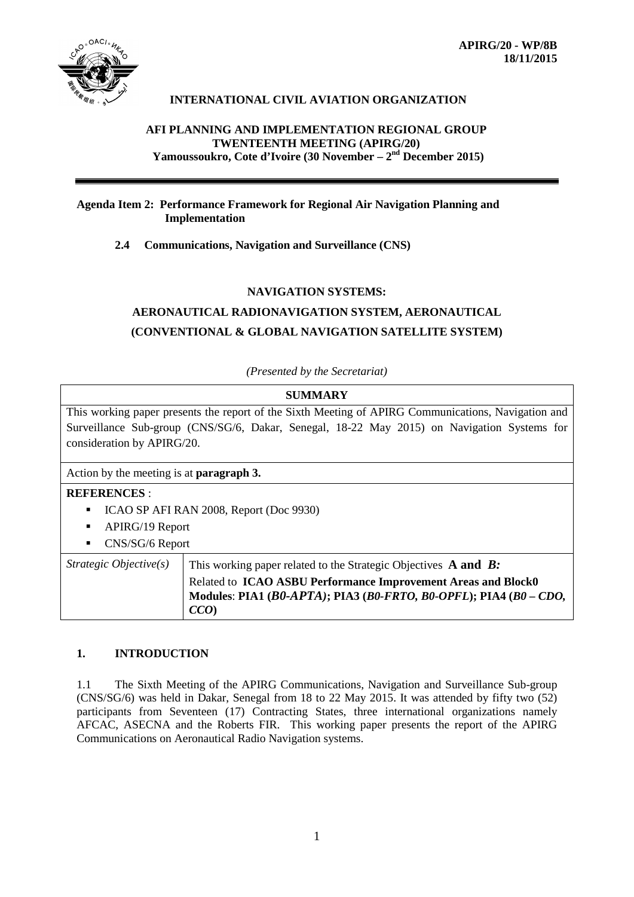

## **INTERNATIONAL CIVIL AVIATION ORGANIZATION**

#### **AFI PLANNING AND IMPLEMENTATION REGIONAL GROUP TWENTEENTH MEETING (APIRG/20) Yamoussoukro, Cote d'Ivoire (30 November – 2nd December 2015)**

## **Agenda Item 2: Performance Framework for Regional Air Navigation Planning and Implementation**

**2.4 Communications, Navigation and Surveillance (CNS)**

#### **NAVIGATION SYSTEMS:**

# **AERONAUTICAL RADIONAVIGATION SYSTEM, AERONAUTICAL (CONVENTIONAL & GLOBAL NAVIGATION SATELLITE SYSTEM)**

*(Presented by the Secretariat)*

| <b>SUMMARY</b>                                                                                             |  |  |  |  |  |  |  |
|------------------------------------------------------------------------------------------------------------|--|--|--|--|--|--|--|
| This working paper presents the report of the Sixth Meeting of APIRG Communications, Navigation and        |  |  |  |  |  |  |  |
| Surveillance Sub-group (CNS/SG/6, Dakar, Senegal, 18-22 May 2015) on Navigation Systems for                |  |  |  |  |  |  |  |
| consideration by APIRG/20.                                                                                 |  |  |  |  |  |  |  |
|                                                                                                            |  |  |  |  |  |  |  |
| Action by the meeting is at <b>paragraph 3.</b>                                                            |  |  |  |  |  |  |  |
| <b>REFERENCES:</b>                                                                                         |  |  |  |  |  |  |  |
| ICAO SP AFI RAN 2008, Report (Doc 9930)<br>٠                                                               |  |  |  |  |  |  |  |
| APIRG/19 Report<br>٠                                                                                       |  |  |  |  |  |  |  |
| CNS/SG/6 Report<br>٠                                                                                       |  |  |  |  |  |  |  |
| Strategic $Objective(s)$<br>This working paper related to the Strategic Objectives $\bf{A}$ and $\bf{B}$ : |  |  |  |  |  |  |  |
| Related to ICAO ASBU Performance Improvement Areas and Block0                                              |  |  |  |  |  |  |  |
| Modules: PIA1 ( $B0$ -APTA); PIA3 ( $B0$ -FRTO, $B0$ -OPFL); PIA4 ( $B0$ – CDO,                            |  |  |  |  |  |  |  |
| CCO                                                                                                        |  |  |  |  |  |  |  |

## **1. INTRODUCTION**

1.1 The Sixth Meeting of the APIRG Communications, Navigation and Surveillance Sub-group (CNS/SG/6) was held in Dakar, Senegal from 18 to 22 May 2015. It was attended by fifty two (52) participants from Seventeen (17) Contracting States, three international organizations namely AFCAC, ASECNA and the Roberts FIR. This working paper presents the report of the APIRG Communications on Aeronautical Radio Navigation systems.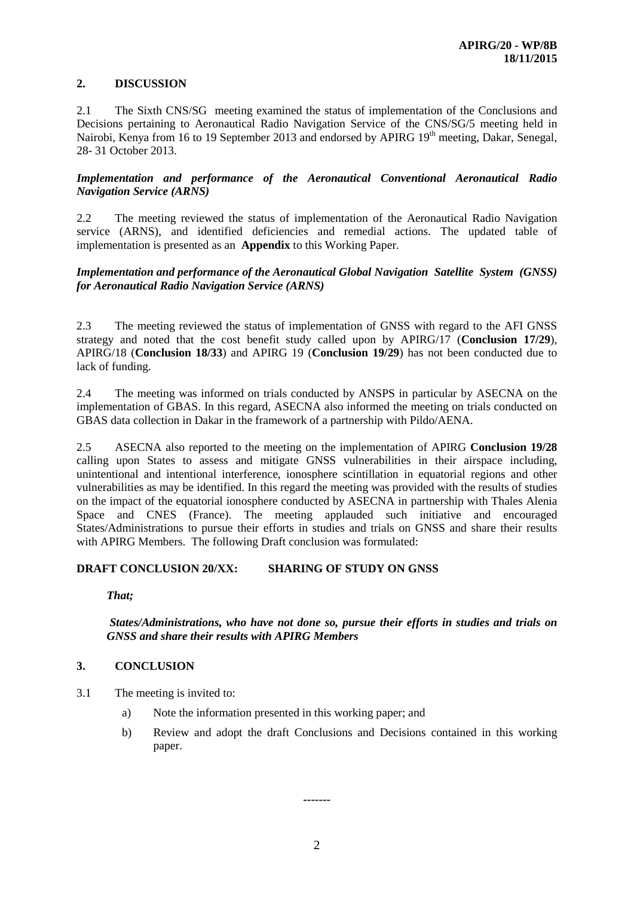## **2. DISCUSSION**

2.1 The Sixth CNS/SG meeting examined the status of implementation of the Conclusions and Decisions pertaining to Aeronautical Radio Navigation Service of the CNS/SG/5 meeting held in Nairobi, Kenya from 16 to 19 September 2013 and endorsed by APIRG 19<sup>th</sup> meeting, Dakar, Senegal, 28- 31 October 2013.

#### *Implementation and performance of the Aeronautical Conventional Aeronautical Radio Navigation Service (ARNS)*

2.2 The meeting reviewed the status of implementation of the Aeronautical Radio Navigation service (ARNS), and identified deficiencies and remedial actions. The updated table of implementation is presented as an **Appendix** to this Working Paper.

## *Implementation and performance of the Aeronautical Global Navigation Satellite System (GNSS) for Aeronautical Radio Navigation Service (ARNS)*

2.3 The meeting reviewed the status of implementation of GNSS with regard to the AFI GNSS strategy and noted that the cost benefit study called upon by APIRG/17 (**Conclusion 17/29**), APIRG/18 (**Conclusion 18/33**) and APIRG 19 (**Conclusion 19/29**) has not been conducted due to lack of funding.

2.4 The meeting was informed on trials conducted by ANSPS in particular by ASECNA on the implementation of GBAS. In this regard, ASECNA also informed the meeting on trials conducted on GBAS data collection in Dakar in the framework of a partnership with Pildo/AENA.

2.5 ASECNA also reported to the meeting on the implementation of APIRG **Conclusion 19/28** calling upon States to assess and mitigate GNSS vulnerabilities in their airspace including, unintentional and intentional interference, ionosphere scintillation in equatorial regions and other vulnerabilities as may be identified. In this regard the meeting was provided with the results of studies on the impact of the equatorial ionosphere conducted by ASECNA in partnership with Thales Alenia Space and CNES (France). The meeting applauded such initiative and encouraged States/Administrations to pursue their efforts in studies and trials on GNSS and share their results with APIRG Members. The following Draft conclusion was formulated:

## **DRAFT CONCLUSION 20/XX: SHARING OF STUDY ON GNSS**

*That;*

#### *States/Administrations, who have not done so, pursue their efforts in studies and trials on GNSS and share their results with APIRG Members*

## **3. CONCLUSION**

- 3.1 The meeting is invited to:
	- a) Note the information presented in this working paper; and
	- b) Review and adopt the draft Conclusions and Decisions contained in this working paper.

**-------**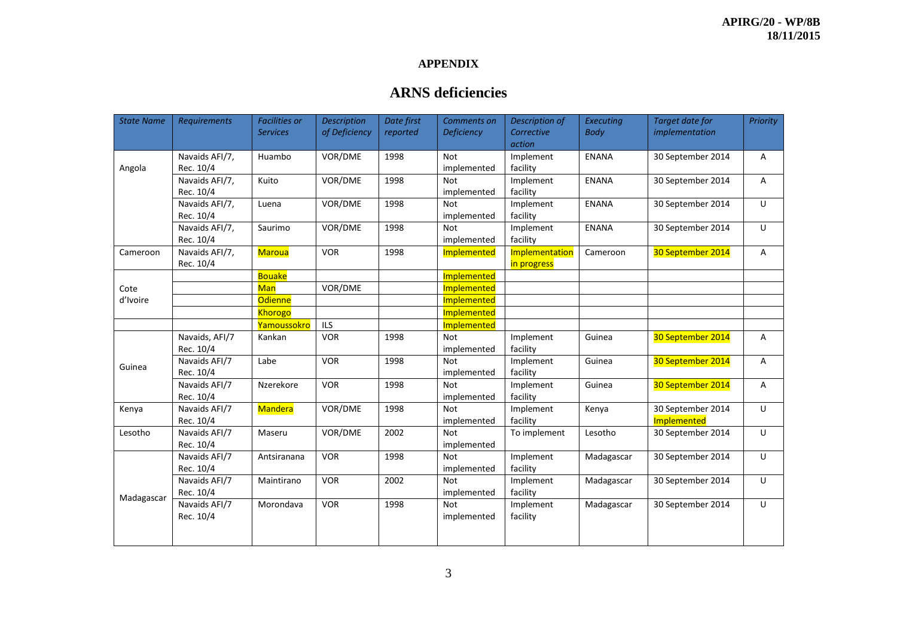## **APPENDIX**

# **ARNS deficiencies**

| <b>State Name</b> | Requirements   | <b>Facilities or</b> | <b>Description</b> | Date first | Comments on       | Description of | Executing    | Target date for   | <b>Priority</b> |
|-------------------|----------------|----------------------|--------------------|------------|-------------------|----------------|--------------|-------------------|-----------------|
|                   |                | <b>Services</b>      | of Deficiency      | reported   | <b>Deficiency</b> | Corrective     | <b>Body</b>  | implementation    |                 |
|                   |                |                      |                    |            |                   | action         |              |                   |                 |
| Angola            | Navaids AFI/7, | Huambo               | VOR/DME            | 1998       | <b>Not</b>        | Implement      | ENANA        | 30 September 2014 | Α               |
|                   | Rec. 10/4      |                      |                    |            | implemented       | facility       |              |                   |                 |
|                   | Navaids AFI/7, | Kuito                | VOR/DME            | 1998       | <b>Not</b>        | Implement      | <b>ENANA</b> | 30 September 2014 | A               |
|                   | Rec. 10/4      |                      |                    |            | implemented       | facility       |              |                   |                 |
|                   | Navaids AFI/7, | Luena                | VOR/DME            | 1998       | <b>Not</b>        | Implement      | <b>ENANA</b> | 30 September 2014 | U               |
|                   | Rec. 10/4      |                      |                    |            | implemented       | facility       |              |                   |                 |
|                   | Navaids AFI/7, | Saurimo              | VOR/DME            | 1998       | <b>Not</b>        | Implement      | <b>ENANA</b> | 30 September 2014 | U               |
|                   | Rec. 10/4      |                      |                    |            | implemented       | facility       |              |                   |                 |
| Cameroon          | Navaids AFI/7, | <b>Maroua</b>        | <b>VOR</b>         | 1998       | Implemented       | Implementation | Cameroon     | 30 September 2014 | A               |
|                   | Rec. 10/4      |                      |                    |            |                   | in progress    |              |                   |                 |
|                   |                | <b>Bouake</b>        |                    |            | Implemented       |                |              |                   |                 |
| Cote              |                | Man                  | VOR/DME            |            | Implemented       |                |              |                   |                 |
| d'Ivoire          |                | <b>Odienne</b>       |                    |            | Implemented       |                |              |                   |                 |
|                   |                | Khorogo              |                    |            | Implemented       |                |              |                   |                 |
|                   |                | Yamoussokro          | <b>ILS</b>         |            | Implemented       |                |              |                   |                 |
|                   | Navaids, AFI/7 | Kankan               | <b>VOR</b>         | 1998       | <b>Not</b>        | Implement      | Guinea       | 30 September 2014 | A               |
|                   | Rec. 10/4      |                      |                    |            | implemented       | facility       |              |                   |                 |
| Guinea            | Navaids AFI/7  | Labe                 | <b>VOR</b>         | 1998       | <b>Not</b>        | Implement      | Guinea       | 30 September 2014 | A               |
|                   | Rec. 10/4      |                      |                    |            | implemented       | facility       |              |                   |                 |
|                   | Navaids AFI/7  | Nzerekore            | <b>VOR</b>         | 1998       | <b>Not</b>        | Implement      | Guinea       | 30 September 2014 | A               |
|                   | Rec. 10/4      |                      |                    |            | implemented       | facility       |              |                   |                 |
| Kenya             | Navaids AFI/7  | <b>Mandera</b>       | VOR/DME            | 1998       | <b>Not</b>        | Implement      | Kenya        | 30 September 2014 | U               |
|                   | Rec. 10/4      |                      |                    |            | implemented       | facility       |              | Implemented       |                 |
| Lesotho           | Navaids AFI/7  | Maseru               | VOR/DME            | 2002       | <b>Not</b>        | To implement   | Lesotho      | 30 September 2014 | U               |
|                   | Rec. 10/4      |                      |                    |            | implemented       |                |              |                   |                 |
| Madagascar        | Navaids AFI/7  | Antsiranana          | <b>VOR</b>         | 1998       | <b>Not</b>        | Implement      | Madagascar   | 30 September 2014 | U               |
|                   | Rec. 10/4      |                      |                    |            | implemented       | facility       |              |                   |                 |
|                   | Navaids AFI/7  | Maintirano           | <b>VOR</b>         | 2002       | <b>Not</b>        | Implement      | Madagascar   | 30 September 2014 | U               |
|                   | Rec. 10/4      |                      |                    |            | implemented       | facility       |              |                   |                 |
|                   | Navaids AFI/7  | Morondava            | <b>VOR</b>         | 1998       | Not               | Implement      | Madagascar   | 30 September 2014 | U               |
|                   | Rec. 10/4      |                      |                    |            | implemented       | facility       |              |                   |                 |
|                   |                |                      |                    |            |                   |                |              |                   |                 |
|                   |                |                      |                    |            |                   |                |              |                   |                 |